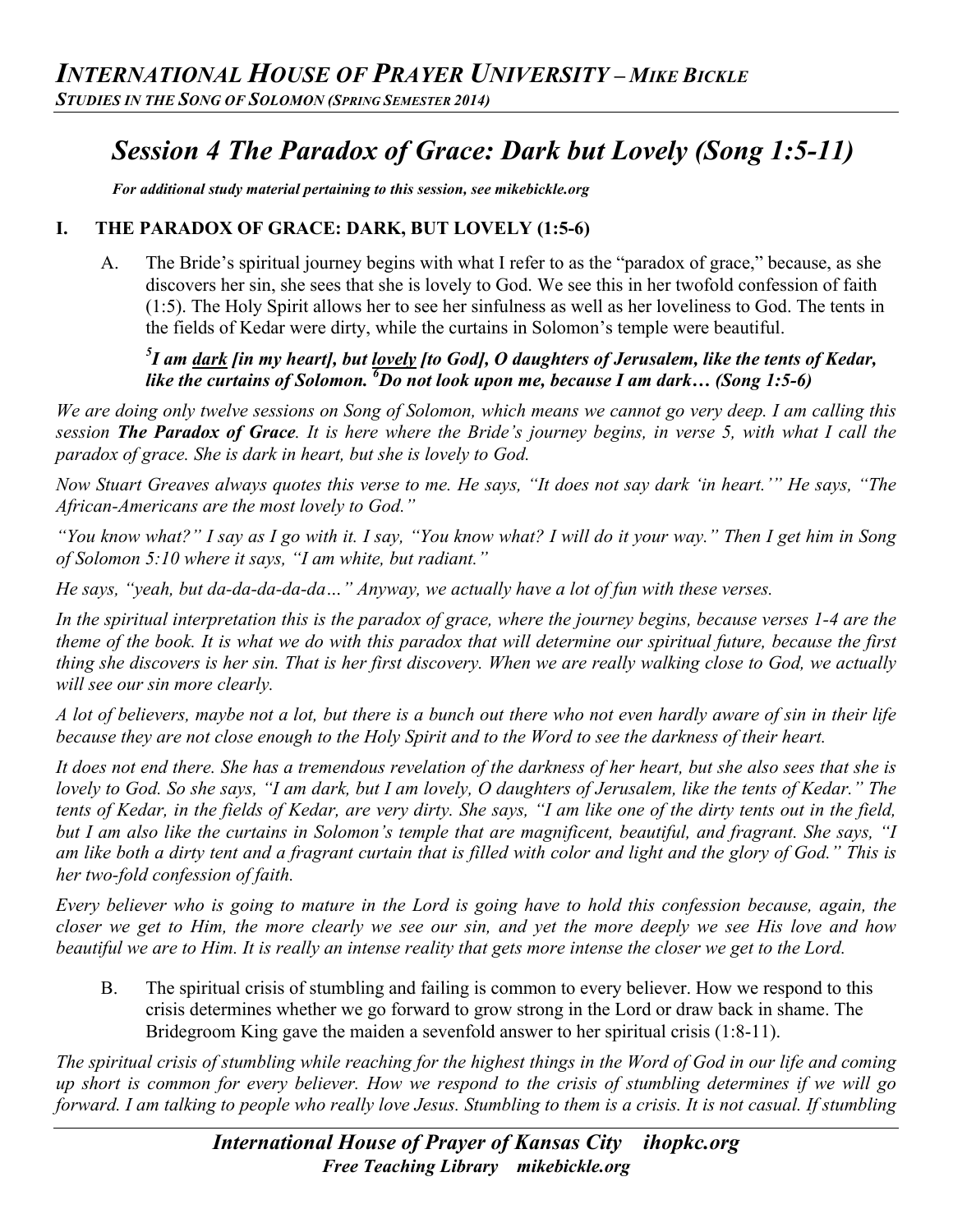# *Session 4 The Paradox of Grace: Dark but Lovely (Song 1:5-11)*

*For additional study material pertaining to this session, see mikebickle.org* 

#### **I. THE PARADOX OF GRACE: DARK, BUT LOVELY (1:5-6)**

A. The Bride's spiritual journey begins with what I refer to as the "paradox of grace," because, as she discovers her sin, she sees that she is lovely to God. We see this in her twofold confession of faith (1:5). The Holy Spirit allows her to see her sinfulness as well as her loveliness to God. The tents in the fields of Kedar were dirty, while the curtains in Solomon's temple were beautiful.

#### *5 I am dark [in my heart], but lovely [to God], O daughters of Jerusalem, like the tents of Kedar, like the curtains of Solomon. <sup>6</sup> Do not look upon me, because I am dark… (Song 1:5-6)*

*We are doing only twelve sessions on Song of Solomon, which means we cannot go very deep. I am calling this session The Paradox of Grace. It is here where the Bride's journey begins, in verse 5, with what I call the paradox of grace. She is dark in heart, but she is lovely to God.* 

*Now Stuart Greaves always quotes this verse to me. He says, "It does not say dark 'in heart.'" He says, "The African-Americans are the most lovely to God."*

*"You know what?" I say as I go with it. I say, "You know what? I will do it your way." Then I get him in Song of Solomon 5:10 where it says, "I am white, but radiant."*

*He says, "yeah, but da-da-da-da-da…" Anyway, we actually have a lot of fun with these verses.*

*In the spiritual interpretation this is the paradox of grace, where the journey begins, because verses 1-4 are the theme of the book. It is what we do with this paradox that will determine our spiritual future, because the first thing she discovers is her sin. That is her first discovery. When we are really walking close to God, we actually will see our sin more clearly.*

*A lot of believers, maybe not a lot, but there is a bunch out there who not even hardly aware of sin in their life because they are not close enough to the Holy Spirit and to the Word to see the darkness of their heart.*

*It does not end there. She has a tremendous revelation of the darkness of her heart, but she also sees that she is lovely to God. So she says, "I am dark, but I am lovely, O daughters of Jerusalem, like the tents of Kedar." The tents of Kedar, in the fields of Kedar, are very dirty. She says, "I am like one of the dirty tents out in the field, but I am also like the curtains in Solomon's temple that are magnificent, beautiful, and fragrant. She says, "I am like both a dirty tent and a fragrant curtain that is filled with color and light and the glory of God." This is her two-fold confession of faith.*

*Every believer who is going to mature in the Lord is going have to hold this confession because, again, the closer we get to Him, the more clearly we see our sin, and yet the more deeply we see His love and how beautiful we are to Him. It is really an intense reality that gets more intense the closer we get to the Lord.*

B. The spiritual crisis of stumbling and failing is common to every believer. How we respond to this crisis determines whether we go forward to grow strong in the Lord or draw back in shame. The Bridegroom King gave the maiden a sevenfold answer to her spiritual crisis (1:8-11).

*The spiritual crisis of stumbling while reaching for the highest things in the Word of God in our life and coming up short is common for every believer. How we respond to the crisis of stumbling determines if we will go forward. I am talking to people who really love Jesus. Stumbling to them is a crisis. It is not casual. If stumbling*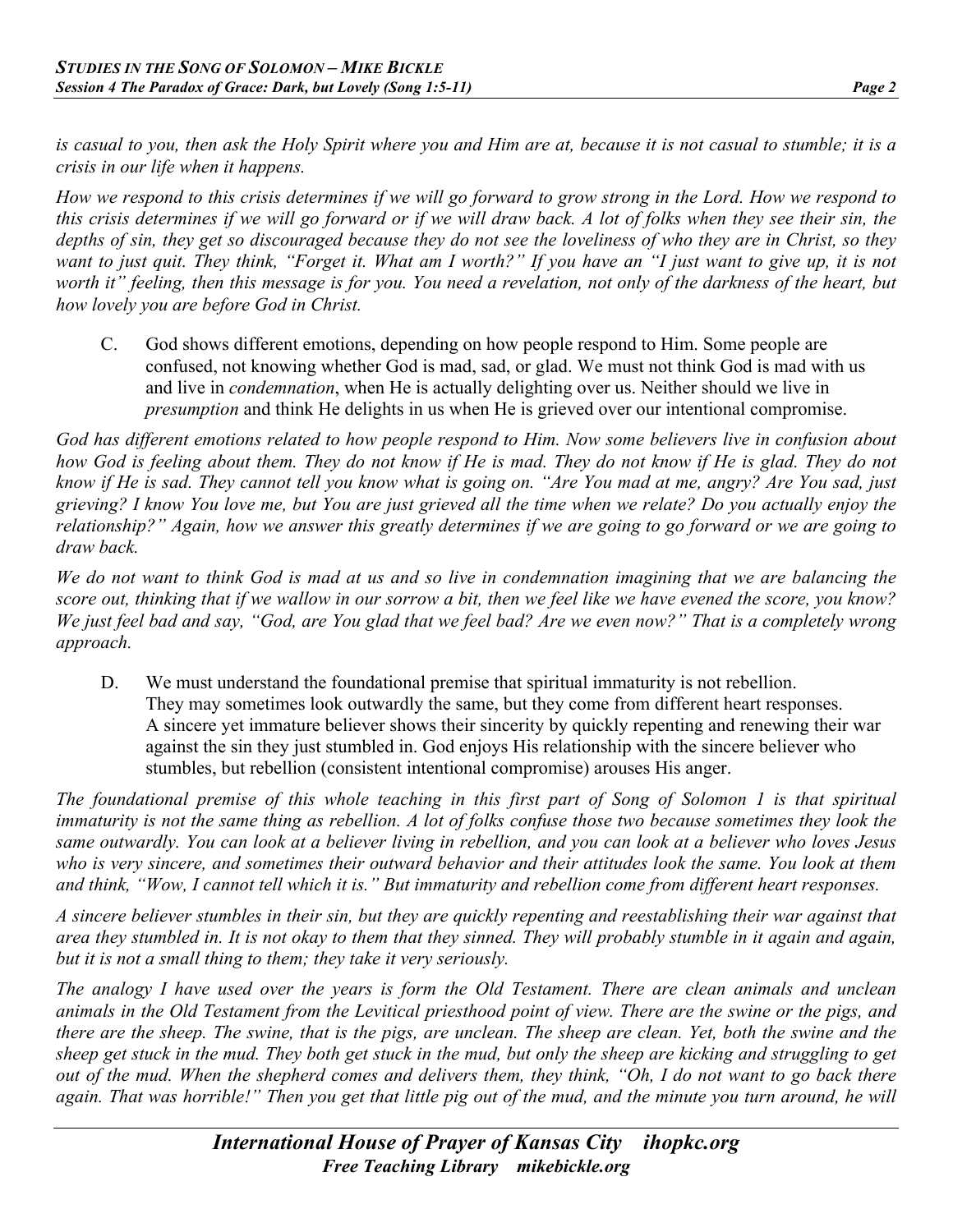*is casual to you, then ask the Holy Spirit where you and Him are at, because it is not casual to stumble; it is a crisis in our life when it happens.*

*How we respond to this crisis determines if we will go forward to grow strong in the Lord. How we respond to this crisis determines if we will go forward or if we will draw back. A lot of folks when they see their sin, the depths of sin, they get so discouraged because they do not see the loveliness of who they are in Christ, so they want to just quit. They think, "Forget it. What am I worth?" If you have an "I just want to give up, it is not worth it" feeling, then this message is for you. You need a revelation, not only of the darkness of the heart, but how lovely you are before God in Christ.*

C. God shows different emotions, depending on how people respond to Him. Some people are confused, not knowing whether God is mad, sad, or glad. We must not think God is mad with us and live in *condemnation*, when He is actually delighting over us. Neither should we live in *presumption* and think He delights in us when He is grieved over our intentional compromise.

*God has different emotions related to how people respond to Him. Now some believers live in confusion about how God is feeling about them. They do not know if He is mad. They do not know if He is glad. They do not know if He is sad. They cannot tell you know what is going on. "Are You mad at me, angry? Are You sad, just grieving? I know You love me, but You are just grieved all the time when we relate? Do you actually enjoy the relationship?" Again, how we answer this greatly determines if we are going to go forward or we are going to draw back.*

*We do not want to think God is mad at us and so live in condemnation imagining that we are balancing the score out, thinking that if we wallow in our sorrow a bit, then we feel like we have evened the score, you know? We just feel bad and say, "God, are You glad that we feel bad? Are we even now?" That is a completely wrong approach.*

D. We must understand the foundational premise that spiritual immaturity is not rebellion. They may sometimes look outwardly the same, but they come from different heart responses. A sincere yet immature believer shows their sincerity by quickly repenting and renewing their war against the sin they just stumbled in. God enjoys His relationship with the sincere believer who stumbles, but rebellion (consistent intentional compromise) arouses His anger.

*The foundational premise of this whole teaching in this first part of Song of Solomon 1 is that spiritual immaturity is not the same thing as rebellion. A lot of folks confuse those two because sometimes they look the same outwardly. You can look at a believer living in rebellion, and you can look at a believer who loves Jesus who is very sincere, and sometimes their outward behavior and their attitudes look the same. You look at them and think, "Wow, I cannot tell which it is." But immaturity and rebellion come from different heart responses.*

*A sincere believer stumbles in their sin, but they are quickly repenting and reestablishing their war against that area they stumbled in. It is not okay to them that they sinned. They will probably stumble in it again and again, but it is not a small thing to them; they take it very seriously.*

*The analogy I have used over the years is form the Old Testament. There are clean animals and unclean animals in the Old Testament from the Levitical priesthood point of view. There are the swine or the pigs, and there are the sheep. The swine, that is the pigs, are unclean. The sheep are clean. Yet, both the swine and the sheep get stuck in the mud. They both get stuck in the mud, but only the sheep are kicking and struggling to get out of the mud. When the shepherd comes and delivers them, they think, "Oh, I do not want to go back there again. That was horrible!" Then you get that little pig out of the mud, and the minute you turn around, he will*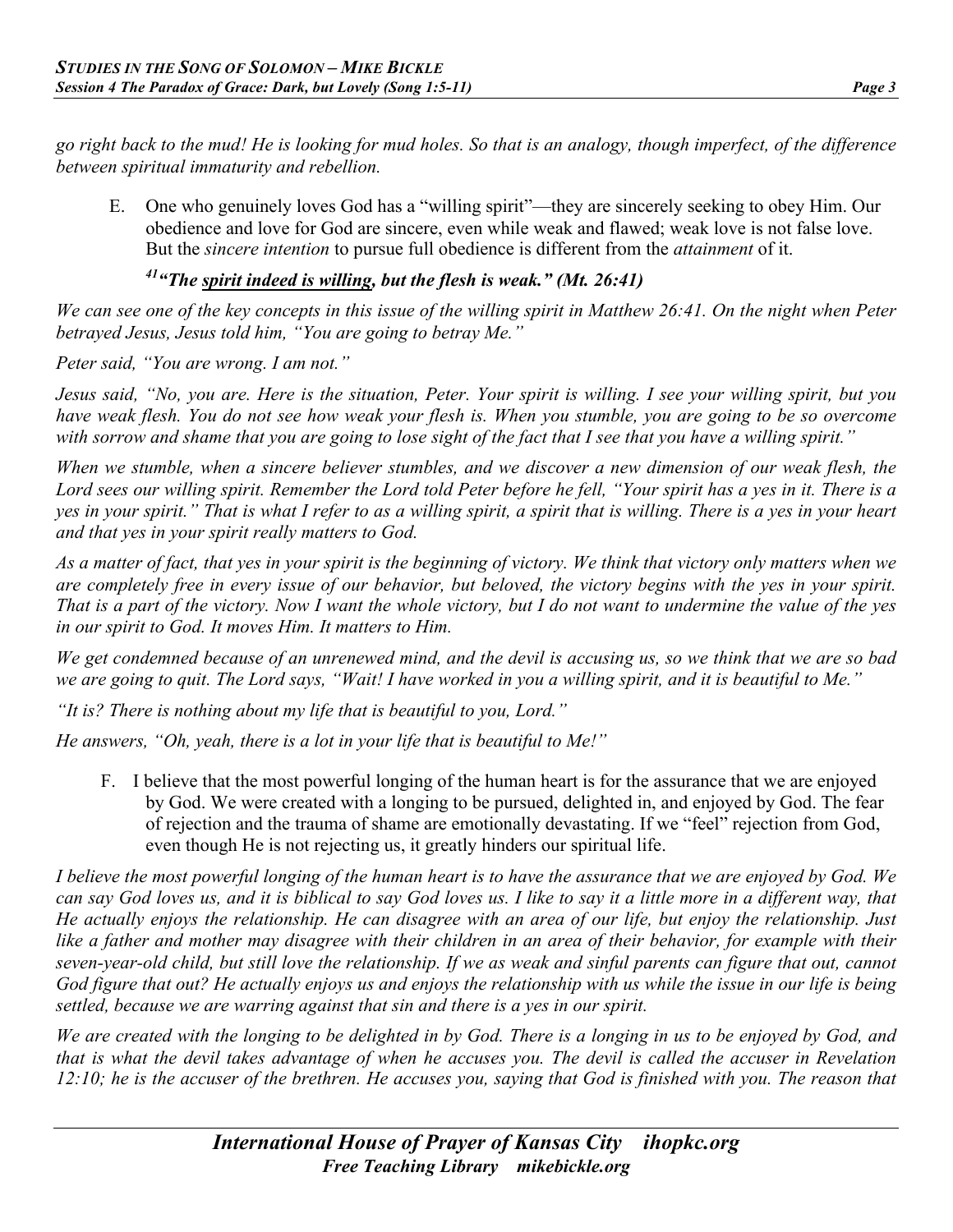*go right back to the mud! He is looking for mud holes. So that is an analogy, though imperfect, of the difference between spiritual immaturity and rebellion.*

E. One who genuinely loves God has a "willing spirit"—they are sincerely seeking to obey Him. Our obedience and love for God are sincere, even while weak and flawed; weak love is not false love. But the *sincere intention* to pursue full obedience is different from the *attainment* of it.

# *41"The spirit indeed is willing, but the flesh is weak." (Mt. 26:41)*

*We can see one of the key concepts in this issue of the willing spirit in Matthew 26:41. On the night when Peter betrayed Jesus, Jesus told him, "You are going to betray Me."*

*Peter said, "You are wrong. I am not."*

*Jesus said, "No, you are. Here is the situation, Peter. Your spirit is willing. I see your willing spirit, but you have weak flesh. You do not see how weak your flesh is. When you stumble, you are going to be so overcome with sorrow and shame that you are going to lose sight of the fact that I see that you have a willing spirit."*

*When we stumble, when a sincere believer stumbles, and we discover a new dimension of our weak flesh, the Lord sees our willing spirit. Remember the Lord told Peter before he fell, "Your spirit has a yes in it. There is a yes in your spirit." That is what I refer to as a willing spirit, a spirit that is willing. There is a yes in your heart and that yes in your spirit really matters to God.*

*As a matter of fact, that yes in your spirit is the beginning of victory. We think that victory only matters when we are completely free in every issue of our behavior, but beloved, the victory begins with the yes in your spirit. That is a part of the victory. Now I want the whole victory, but I do not want to undermine the value of the yes in our spirit to God. It moves Him. It matters to Him.*

*We get condemned because of an unrenewed mind, and the devil is accusing us, so we think that we are so bad we are going to quit. The Lord says, "Wait! I have worked in you a willing spirit, and it is beautiful to Me."*

*"It is? There is nothing about my life that is beautiful to you, Lord."*

*He answers, "Oh, yeah, there is a lot in your life that is beautiful to Me!"*

F. I believe that the most powerful longing of the human heart is for the assurance that we are enjoyed by God. We were created with a longing to be pursued, delighted in, and enjoyed by God. The fear of rejection and the trauma of shame are emotionally devastating. If we "feel" rejection from God, even though He is not rejecting us, it greatly hinders our spiritual life.

*I believe the most powerful longing of the human heart is to have the assurance that we are enjoyed by God. We can say God loves us, and it is biblical to say God loves us. I like to say it a little more in a different way, that He actually enjoys the relationship. He can disagree with an area of our life, but enjoy the relationship. Just like a father and mother may disagree with their children in an area of their behavior, for example with their seven-year-old child, but still love the relationship. If we as weak and sinful parents can figure that out, cannot God figure that out? He actually enjoys us and enjoys the relationship with us while the issue in our life is being settled, because we are warring against that sin and there is a yes in our spirit.*

*We are created with the longing to be delighted in by God. There is a longing in us to be enjoyed by God, and that is what the devil takes advantage of when he accuses you. The devil is called the accuser in Revelation 12:10; he is the accuser of the brethren. He accuses you, saying that God is finished with you. The reason that*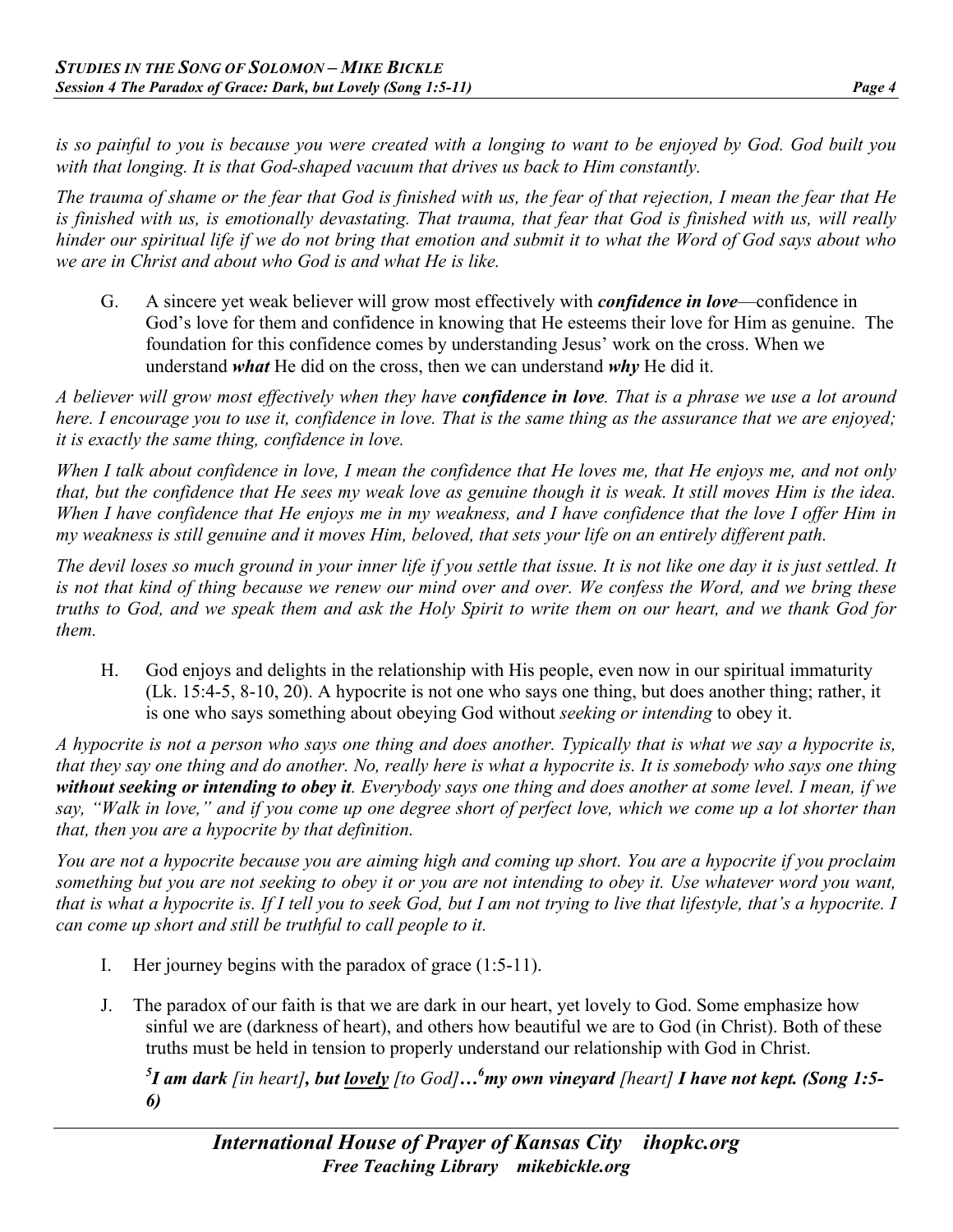*is so painful to you is because you were created with a longing to want to be enjoyed by God. God built you with that longing. It is that God-shaped vacuum that drives us back to Him constantly.*

*The trauma of shame or the fear that God is finished with us, the fear of that rejection, I mean the fear that He is finished with us, is emotionally devastating. That trauma, that fear that God is finished with us, will really hinder our spiritual life if we do not bring that emotion and submit it to what the Word of God says about who we are in Christ and about who God is and what He is like.*

G. A sincere yet weak believer will grow most effectively with *confidence in love*—confidence in God's love for them and confidence in knowing that He esteems their love for Him as genuine. The foundation for this confidence comes by understanding Jesus' work on the cross. When we understand *what* He did on the cross, then we can understand *why* He did it.

*A believer will grow most effectively when they have confidence in love. That is a phrase we use a lot around here. I encourage you to use it, confidence in love. That is the same thing as the assurance that we are enjoyed; it is exactly the same thing, confidence in love.*

*When I talk about confidence in love, I mean the confidence that He loves me, that He enjoys me, and not only that, but the confidence that He sees my weak love as genuine though it is weak. It still moves Him is the idea. When I have confidence that He enjoys me in my weakness, and I have confidence that the love I offer Him in my weakness is still genuine and it moves Him, beloved, that sets your life on an entirely different path.*

*The devil loses so much ground in your inner life if you settle that issue. It is not like one day it is just settled. It is not that kind of thing because we renew our mind over and over. We confess the Word, and we bring these truths to God, and we speak them and ask the Holy Spirit to write them on our heart, and we thank God for them.*

H. God enjoys and delights in the relationship with His people, even now in our spiritual immaturity (Lk. 15:4-5, 8-10, 20). A hypocrite is not one who says one thing, but does another thing; rather, it is one who says something about obeying God without *seeking or intending* to obey it.

*A hypocrite is not a person who says one thing and does another. Typically that is what we say a hypocrite is, that they say one thing and do another. No, really here is what a hypocrite is. It is somebody who says one thing without seeking or intending to obey it. Everybody says one thing and does another at some level. I mean, if we say, "Walk in love," and if you come up one degree short of perfect love, which we come up a lot shorter than that, then you are a hypocrite by that definition.*

*You are not a hypocrite because you are aiming high and coming up short. You are a hypocrite if you proclaim something but you are not seeking to obey it or you are not intending to obey it. Use whatever word you want, that is what a hypocrite is. If I tell you to seek God, but I am not trying to live that lifestyle, that's a hypocrite. I can come up short and still be truthful to call people to it.*

- I. Her journey begins with the paradox of grace (1:5-11).
- J. The paradox of our faith is that we are dark in our heart, yet lovely to God. Some emphasize how sinful we are (darkness of heart), and others how beautiful we are to God (in Christ). Both of these truths must be held in tension to properly understand our relationship with God in Christ.

*5 I am dark [in heart], but lovely [to God]…6 my own vineyard [heart] I have not kept. (Song 1:5- 6)*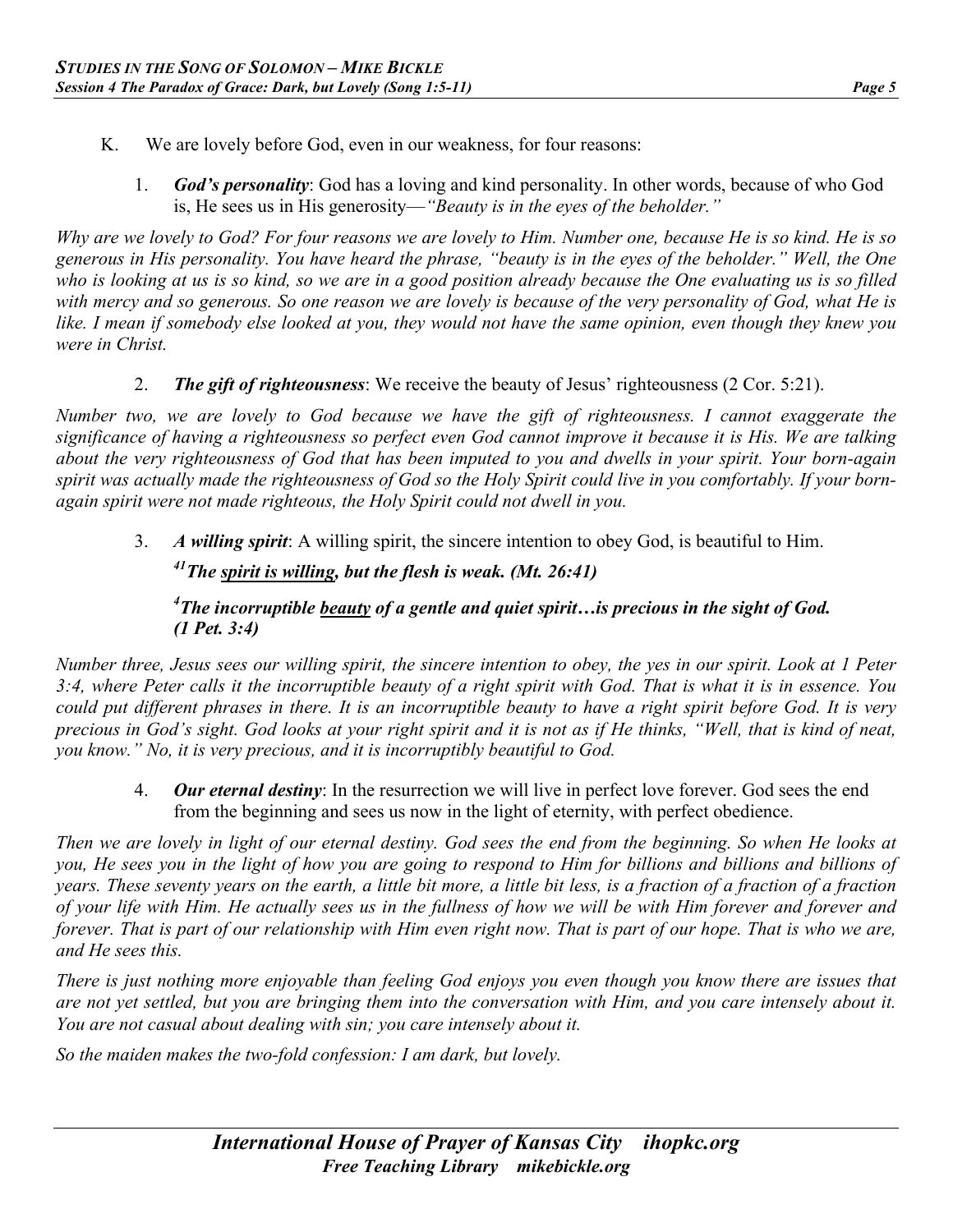- K. We are lovely before God, even in our weakness, for four reasons:
	- 1. *God's personality*: God has a loving and kind personality. In other words, because of who God is, He sees us in His generosity—*"Beauty is in the eyes of the beholder."*

*Why are we lovely to God? For four reasons we are lovely to Him. Number one, because He is so kind. He is so generous in His personality. You have heard the phrase, "beauty is in the eyes of the beholder." Well, the One who is looking at us is so kind, so we are in a good position already because the One evaluating us is so filled with mercy and so generous. So one reason we are lovely is because of the very personality of God, what He is like. I mean if somebody else looked at you, they would not have the same opinion, even though they knew you were in Christ.*

2. *The gift of righteousness*: We receive the beauty of Jesus' righteousness (2 Cor. 5:21).

*Number two, we are lovely to God because we have the gift of righteousness. I cannot exaggerate the significance of having a righteousness so perfect even God cannot improve it because it is His. We are talking about the very righteousness of God that has been imputed to you and dwells in your spirit. Your born-again spirit was actually made the righteousness of God so the Holy Spirit could live in you comfortably. If your bornagain spirit were not made righteous, the Holy Spirit could not dwell in you.*

3. *A willing spirit*: A willing spirit, the sincere intention to obey God, is beautiful to Him.

*41The spirit is willing, but the flesh is weak. (Mt. 26:41)* 

#### *4 The incorruptible beauty of a gentle and quiet spirit…is precious in the sight of God. (1 Pet. 3:4)*

*Number three, Jesus sees our willing spirit, the sincere intention to obey, the yes in our spirit. Look at 1 Peter 3:4, where Peter calls it the incorruptible beauty of a right spirit with God. That is what it is in essence. You could put different phrases in there. It is an incorruptible beauty to have a right spirit before God. It is very precious in God's sight. God looks at your right spirit and it is not as if He thinks, "Well, that is kind of neat, you know." No, it is very precious, and it is incorruptibly beautiful to God.*

4. *Our eternal destiny*: In the resurrection we will live in perfect love forever. God sees the end from the beginning and sees us now in the light of eternity, with perfect obedience.

*Then we are lovely in light of our eternal destiny. God sees the end from the beginning. So when He looks at you, He sees you in the light of how you are going to respond to Him for billions and billions and billions of years. These seventy years on the earth, a little bit more, a little bit less, is a fraction of a fraction of a fraction of your life with Him. He actually sees us in the fullness of how we will be with Him forever and forever and forever. That is part of our relationship with Him even right now. That is part of our hope. That is who we are, and He sees this.*

*There is just nothing more enjoyable than feeling God enjoys you even though you know there are issues that are not yet settled, but you are bringing them into the conversation with Him, and you care intensely about it. You are not casual about dealing with sin; you care intensely about it.*

*So the maiden makes the two-fold confession: I am dark, but lovely.*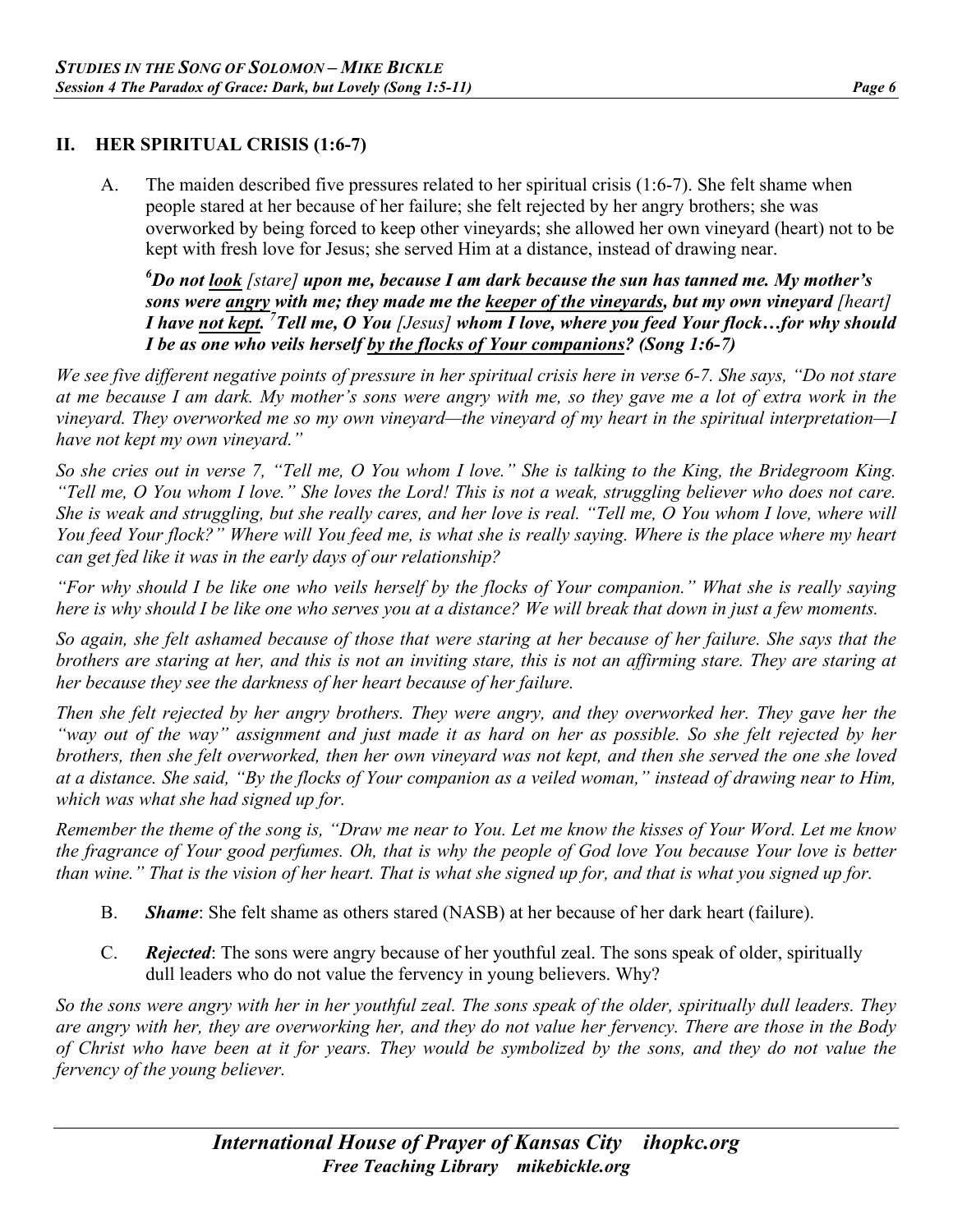#### **II. HER SPIRITUAL CRISIS (1:6-7)**

A. The maiden described five pressures related to her spiritual crisis (1:6-7). She felt shame when people stared at her because of her failure; she felt rejected by her angry brothers; she was overworked by being forced to keep other vineyards; she allowed her own vineyard (heart) not to be kept with fresh love for Jesus; she served Him at a distance, instead of drawing near.

*6 Do not look [stare] upon me, because I am dark because the sun has tanned me. My mother's sons were angry with me; they made me the keeper of the vineyards, but my own vineyard [heart] I have not kept. 7 Tell me, O You [Jesus] whom I love, where you feed Your flock…for why should I be as one who veils herself by the flocks of Your companions? (Song 1:6-7)* 

*We see five different negative points of pressure in her spiritual crisis here in verse 6-7. She says, "Do not stare at me because I am dark. My mother's sons were angry with me, so they gave me a lot of extra work in the vineyard. They overworked me so my own vineyard—the vineyard of my heart in the spiritual interpretation—I have not kept my own vineyard."*

*So she cries out in verse 7, "Tell me, O You whom I love." She is talking to the King, the Bridegroom King. "Tell me, O You whom I love." She loves the Lord! This is not a weak, struggling believer who does not care. She is weak and struggling, but she really cares, and her love is real. "Tell me, O You whom I love, where will You feed Your flock?" Where will You feed me, is what she is really saying. Where is the place where my heart can get fed like it was in the early days of our relationship?*

*"For why should I be like one who veils herself by the flocks of Your companion." What she is really saying here is why should I be like one who serves you at a distance? We will break that down in just a few moments.*

*So again, she felt ashamed because of those that were staring at her because of her failure. She says that the brothers are staring at her, and this is not an inviting stare, this is not an affirming stare. They are staring at her because they see the darkness of her heart because of her failure.*

*Then she felt rejected by her angry brothers. They were angry, and they overworked her. They gave her the "way out of the way" assignment and just made it as hard on her as possible. So she felt rejected by her brothers, then she felt overworked, then her own vineyard was not kept, and then she served the one she loved at a distance. She said, "By the flocks of Your companion as a veiled woman," instead of drawing near to Him, which was what she had signed up for.*

*Remember the theme of the song is, "Draw me near to You. Let me know the kisses of Your Word. Let me know the fragrance of Your good perfumes. Oh, that is why the people of God love You because Your love is better than wine." That is the vision of her heart. That is what she signed up for, and that is what you signed up for.*

- B. *Shame*: She felt shame as others stared (NASB) at her because of her dark heart (failure).
- C. *Rejected*: The sons were angry because of her youthful zeal. The sons speak of older, spiritually dull leaders who do not value the fervency in young believers. Why?

*So the sons were angry with her in her youthful zeal. The sons speak of the older, spiritually dull leaders. They are angry with her, they are overworking her, and they do not value her fervency. There are those in the Body of Christ who have been at it for years. They would be symbolized by the sons, and they do not value the fervency of the young believer.*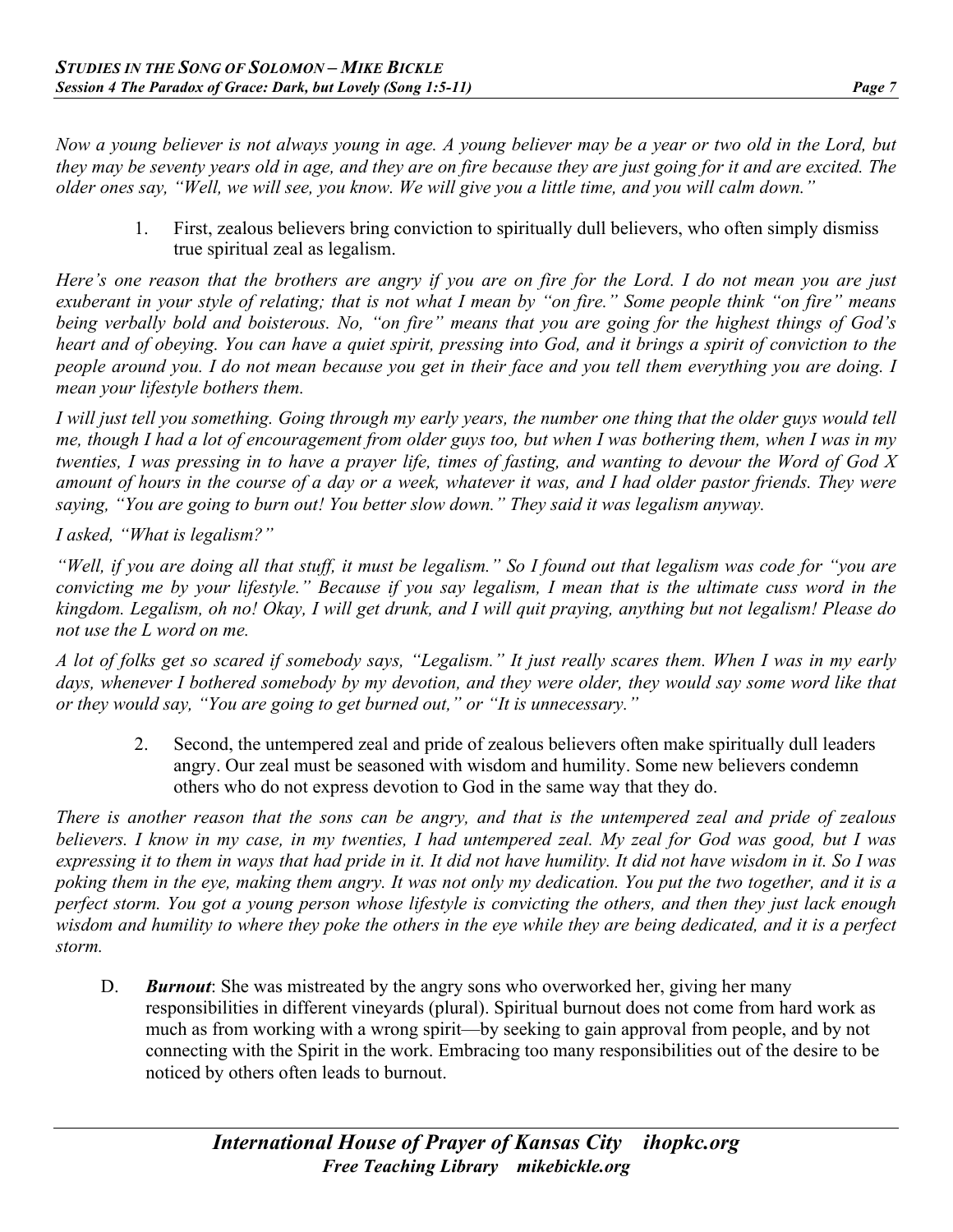*Now a young believer is not always young in age. A young believer may be a year or two old in the Lord, but they may be seventy years old in age, and they are on fire because they are just going for it and are excited. The older ones say, "Well, we will see, you know. We will give you a little time, and you will calm down."*

1. First, zealous believers bring conviction to spiritually dull believers, who often simply dismiss true spiritual zeal as legalism.

*Here's one reason that the brothers are angry if you are on fire for the Lord. I do not mean you are just exuberant in your style of relating; that is not what I mean by "on fire." Some people think "on fire" means being verbally bold and boisterous. No, "on fire" means that you are going for the highest things of God's heart and of obeying. You can have a quiet spirit, pressing into God, and it brings a spirit of conviction to the people around you. I do not mean because you get in their face and you tell them everything you are doing. I mean your lifestyle bothers them.* 

*I will just tell you something. Going through my early years, the number one thing that the older guys would tell me, though I had a lot of encouragement from older guys too, but when I was bothering them, when I was in my twenties, I was pressing in to have a prayer life, times of fasting, and wanting to devour the Word of God X amount of hours in the course of a day or a week, whatever it was, and I had older pastor friends. They were saying, "You are going to burn out! You better slow down." They said it was legalism anyway.* 

*I asked, "What is legalism?"*

*"Well, if you are doing all that stuff, it must be legalism." So I found out that legalism was code for "you are convicting me by your lifestyle." Because if you say legalism, I mean that is the ultimate cuss word in the kingdom. Legalism, oh no! Okay, I will get drunk, and I will quit praying, anything but not legalism! Please do not use the L word on me.*

*A lot of folks get so scared if somebody says, "Legalism." It just really scares them. When I was in my early days, whenever I bothered somebody by my devotion, and they were older, they would say some word like that or they would say, "You are going to get burned out," or "It is unnecessary."*

2. Second, the untempered zeal and pride of zealous believers often make spiritually dull leaders angry. Our zeal must be seasoned with wisdom and humility. Some new believers condemn others who do not express devotion to God in the same way that they do.

*There is another reason that the sons can be angry, and that is the untempered zeal and pride of zealous believers. I know in my case, in my twenties, I had untempered zeal. My zeal for God was good, but I was expressing it to them in ways that had pride in it. It did not have humility. It did not have wisdom in it. So I was poking them in the eye, making them angry. It was not only my dedication. You put the two together, and it is a perfect storm. You got a young person whose lifestyle is convicting the others, and then they just lack enough wisdom and humility to where they poke the others in the eye while they are being dedicated, and it is a perfect storm.*

D. *Burnout*: She was mistreated by the angry sons who overworked her, giving her many responsibilities in different vineyards (plural). Spiritual burnout does not come from hard work as much as from working with a wrong spirit—by seeking to gain approval from people, and by not connecting with the Spirit in the work. Embracing too many responsibilities out of the desire to be noticed by others often leads to burnout.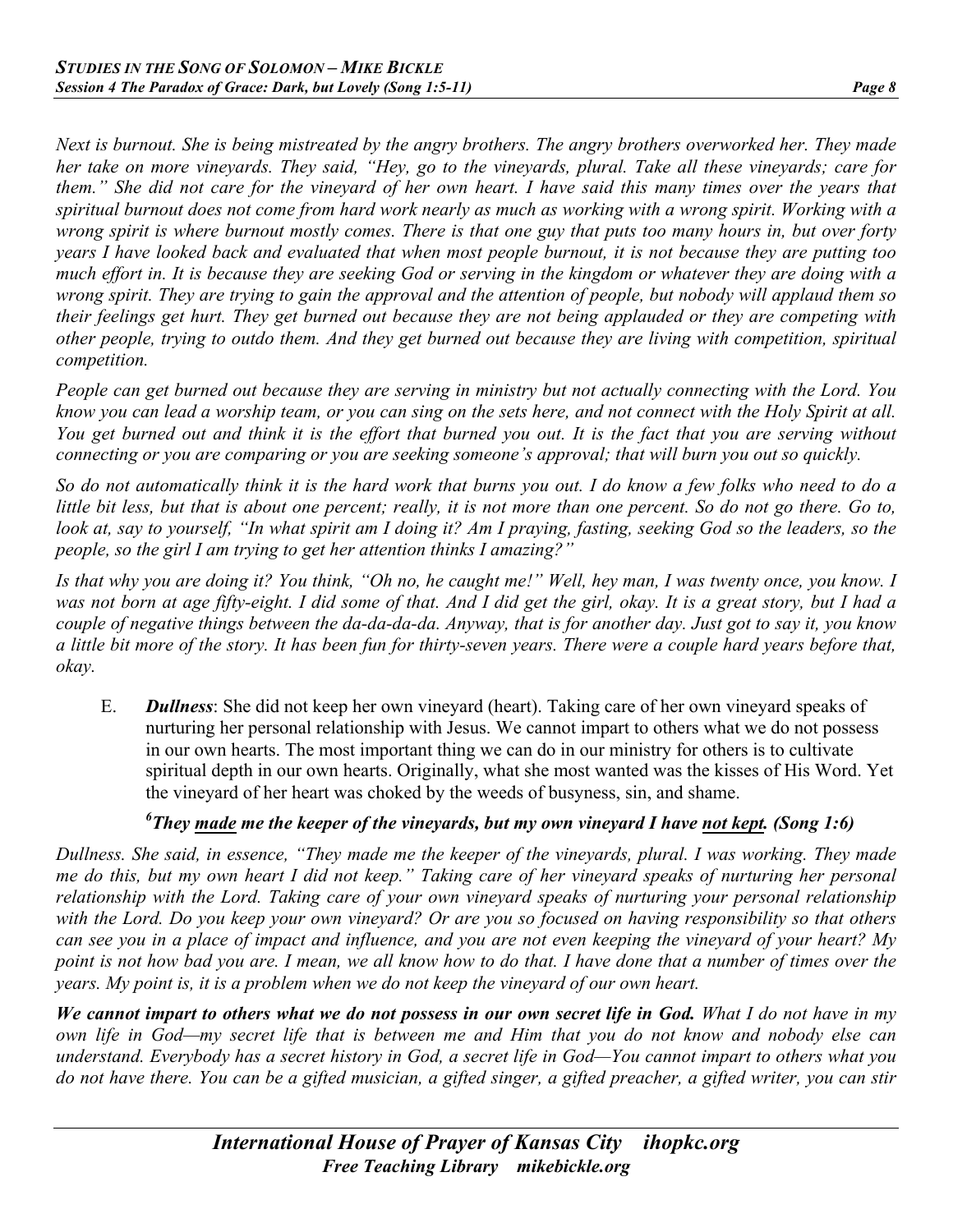*Next is burnout. She is being mistreated by the angry brothers. The angry brothers overworked her. They made her take on more vineyards. They said, "Hey, go to the vineyards, plural. Take all these vineyards; care for them." She did not care for the vineyard of her own heart. I have said this many times over the years that spiritual burnout does not come from hard work nearly as much as working with a wrong spirit. Working with a wrong spirit is where burnout mostly comes. There is that one guy that puts too many hours in, but over forty years I have looked back and evaluated that when most people burnout, it is not because they are putting too much effort in. It is because they are seeking God or serving in the kingdom or whatever they are doing with a wrong spirit. They are trying to gain the approval and the attention of people, but nobody will applaud them so their feelings get hurt. They get burned out because they are not being applauded or they are competing with other people, trying to outdo them. And they get burned out because they are living with competition, spiritual competition.*

*People can get burned out because they are serving in ministry but not actually connecting with the Lord. You know you can lead a worship team, or you can sing on the sets here, and not connect with the Holy Spirit at all. You get burned out and think it is the effort that burned you out. It is the fact that you are serving without connecting or you are comparing or you are seeking someone's approval; that will burn you out so quickly.*

*So do not automatically think it is the hard work that burns you out. I do know a few folks who need to do a little bit less, but that is about one percent; really, it is not more than one percent. So do not go there. Go to, look at, say to yourself, "In what spirit am I doing it? Am I praying, fasting, seeking God so the leaders, so the people, so the girl I am trying to get her attention thinks I amazing?"*

*Is that why you are doing it? You think, "Oh no, he caught me!" Well, hey man, I was twenty once, you know. I was not born at age fifty-eight. I did some of that. And I did get the girl, okay. It is a great story, but I had a couple of negative things between the da-da-da-da. Anyway, that is for another day. Just got to say it, you know a little bit more of the story. It has been fun for thirty-seven years. There were a couple hard years before that, okay.*

E. *Dullness*: She did not keep her own vineyard (heart). Taking care of her own vineyard speaks of nurturing her personal relationship with Jesus. We cannot impart to others what we do not possess in our own hearts. The most important thing we can do in our ministry for others is to cultivate spiritual depth in our own hearts. Originally, what she most wanted was the kisses of His Word. Yet the vineyard of her heart was choked by the weeds of busyness, sin, and shame.

## *6 They made me the keeper of the vineyards, but my own vineyard I have not kept. (Song 1:6)*

*Dullness. She said, in essence, "They made me the keeper of the vineyards, plural. I was working. They made me do this, but my own heart I did not keep." Taking care of her vineyard speaks of nurturing her personal relationship with the Lord. Taking care of your own vineyard speaks of nurturing your personal relationship with the Lord. Do you keep your own vineyard? Or are you so focused on having responsibility so that others can see you in a place of impact and influence, and you are not even keeping the vineyard of your heart? My point is not how bad you are. I mean, we all know how to do that. I have done that a number of times over the years. My point is, it is a problem when we do not keep the vineyard of our own heart.* 

*We cannot impart to others what we do not possess in our own secret life in God. What I do not have in my own life in God—my secret life that is between me and Him that you do not know and nobody else can understand. Everybody has a secret history in God, a secret life in God—You cannot impart to others what you do not have there. You can be a gifted musician, a gifted singer, a gifted preacher, a gifted writer, you can stir*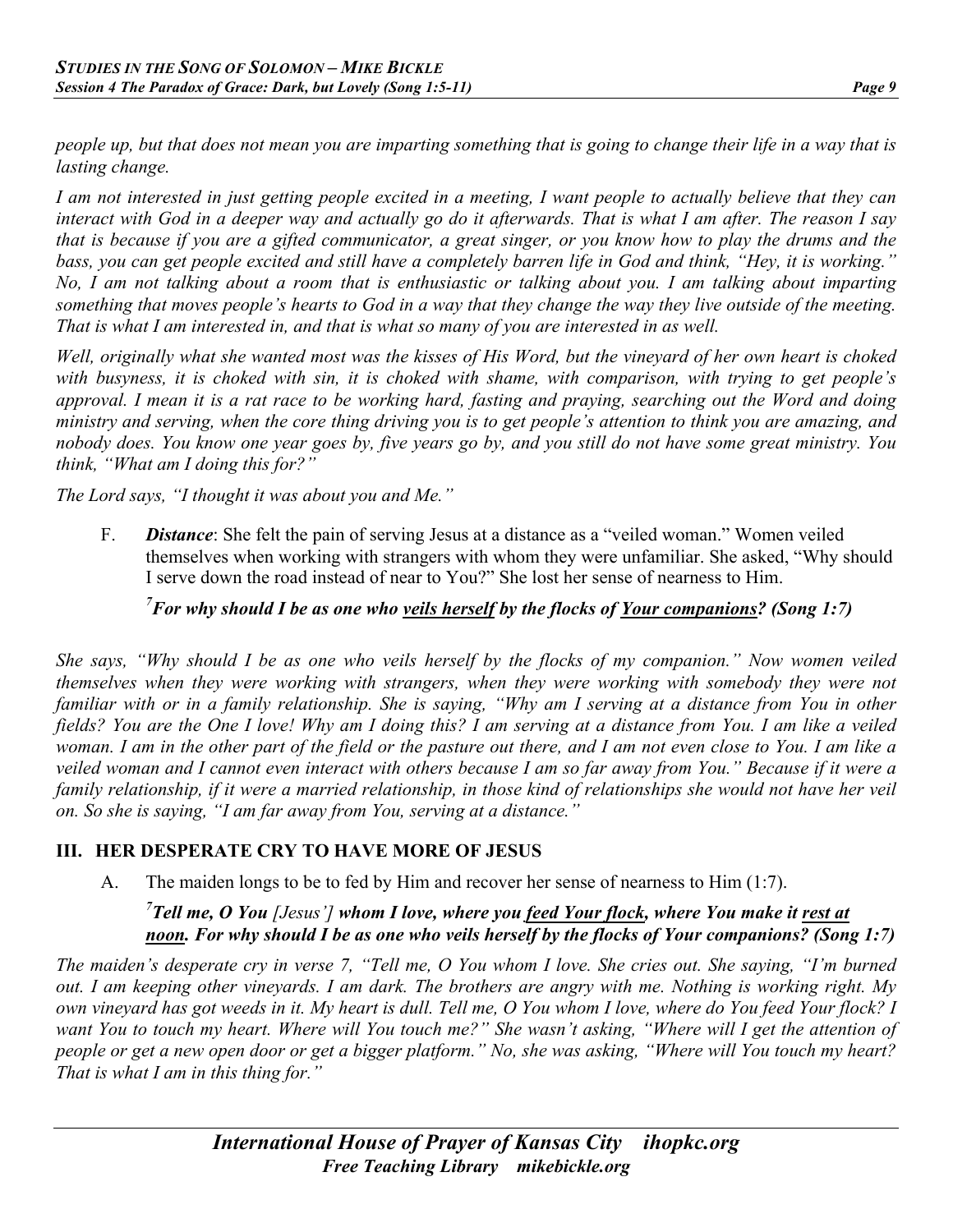*people up, but that does not mean you are imparting something that is going to change their life in a way that is lasting change.*

*I am not interested in just getting people excited in a meeting, I want people to actually believe that they can interact with God in a deeper way and actually go do it afterwards. That is what I am after. The reason I say that is because if you are a gifted communicator, a great singer, or you know how to play the drums and the bass, you can get people excited and still have a completely barren life in God and think, "Hey, it is working." No, I am not talking about a room that is enthusiastic or talking about you. I am talking about imparting something that moves people's hearts to God in a way that they change the way they live outside of the meeting. That is what I am interested in, and that is what so many of you are interested in as well.*

*Well, originally what she wanted most was the kisses of His Word, but the vineyard of her own heart is choked with busyness, it is choked with sin, it is choked with shame, with comparison, with trying to get people's approval. I mean it is a rat race to be working hard, fasting and praying, searching out the Word and doing ministry and serving, when the core thing driving you is to get people's attention to think you are amazing, and nobody does. You know one year goes by, five years go by, and you still do not have some great ministry. You think, "What am I doing this for?"*

*The Lord says, "I thought it was about you and Me."*

F. *Distance*: She felt the pain of serving Jesus at a distance as a "veiled woman." Women veiled themselves when working with strangers with whom they were unfamiliar. She asked, "Why should I serve down the road instead of near to You?" She lost her sense of nearness to Him.

#### *7 For why should I be as one who veils herself by the flocks of Your companions? (Song 1:7)*

*She says, "Why should I be as one who veils herself by the flocks of my companion." Now women veiled themselves when they were working with strangers, when they were working with somebody they were not familiar with or in a family relationship. She is saying, "Why am I serving at a distance from You in other fields? You are the One I love! Why am I doing this? I am serving at a distance from You. I am like a veiled woman. I am in the other part of the field or the pasture out there, and I am not even close to You. I am like a veiled woman and I cannot even interact with others because I am so far away from You." Because if it were a family relationship, if it were a married relationship, in those kind of relationships she would not have her veil on. So she is saying, "I am far away from You, serving at a distance."*

#### **III. HER DESPERATE CRY TO HAVE MORE OF JESUS**

A. The maiden longs to be to fed by Him and recover her sense of nearness to Him (1:7).

#### <sup>7</sup> Tell me, O You [Jesus'] whom I love, where you <u>feed Your flock</u>, where You make it <u>rest at</u> *noon. For why should I be as one who veils herself by the flocks of Your companions? (Song 1:7)*

*The maiden's desperate cry in verse 7, "Tell me, O You whom I love. She cries out. She saying, "I'm burned out. I am keeping other vineyards. I am dark. The brothers are angry with me. Nothing is working right. My own vineyard has got weeds in it. My heart is dull. Tell me, O You whom I love, where do You feed Your flock? I want You to touch my heart. Where will You touch me?" She wasn't asking, "Where will I get the attention of people or get a new open door or get a bigger platform." No, she was asking, "Where will You touch my heart? That is what I am in this thing for."*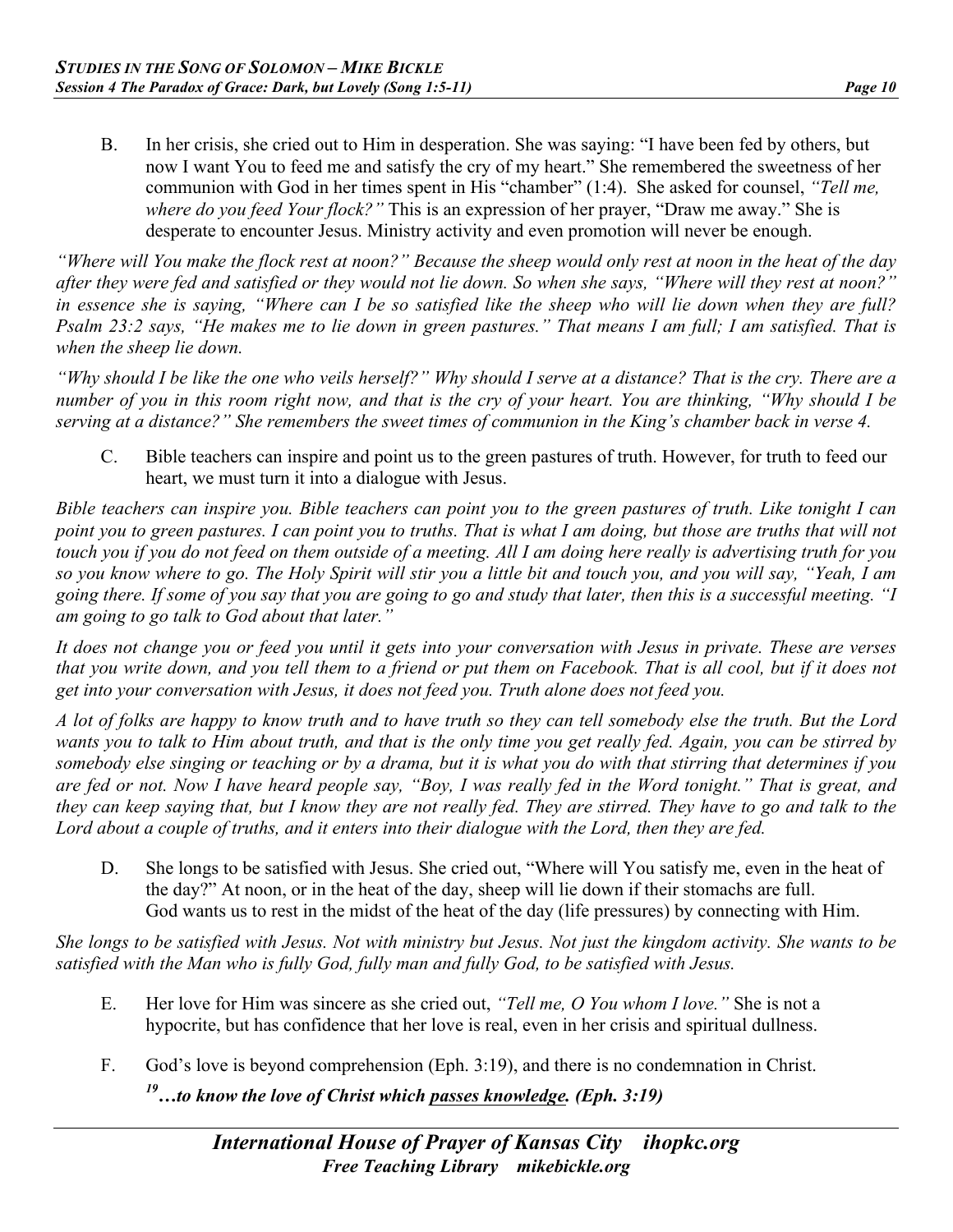B. In her crisis, she cried out to Him in desperation. She was saying: "I have been fed by others, but now I want You to feed me and satisfy the cry of my heart." She remembered the sweetness of her communion with God in her times spent in His "chamber" (1:4). She asked for counsel, *"Tell me, where do you feed Your flock?"* This is an expression of her prayer, "Draw me away." She is desperate to encounter Jesus. Ministry activity and even promotion will never be enough.

*"Where will You make the flock rest at noon?" Because the sheep would only rest at noon in the heat of the day after they were fed and satisfied or they would not lie down. So when she says, "Where will they rest at noon?" in essence she is saying, "Where can I be so satisfied like the sheep who will lie down when they are full? Psalm 23:2 says, "He makes me to lie down in green pastures." That means I am full; I am satisfied. That is when the sheep lie down.*

*"Why should I be like the one who veils herself?" Why should I serve at a distance? That is the cry. There are a number of you in this room right now, and that is the cry of your heart. You are thinking, "Why should I be serving at a distance?" She remembers the sweet times of communion in the King's chamber back in verse 4.*

C. Bible teachers can inspire and point us to the green pastures of truth. However, for truth to feed our heart, we must turn it into a dialogue with Jesus.

*Bible teachers can inspire you. Bible teachers can point you to the green pastures of truth. Like tonight I can point you to green pastures. I can point you to truths. That is what I am doing, but those are truths that will not touch you if you do not feed on them outside of a meeting. All I am doing here really is advertising truth for you so you know where to go. The Holy Spirit will stir you a little bit and touch you, and you will say, "Yeah, I am going there. If some of you say that you are going to go and study that later, then this is a successful meeting. "I am going to go talk to God about that later."*

*It does not change you or feed you until it gets into your conversation with Jesus in private. These are verses that you write down, and you tell them to a friend or put them on Facebook. That is all cool, but if it does not get into your conversation with Jesus, it does not feed you. Truth alone does not feed you.*

*A lot of folks are happy to know truth and to have truth so they can tell somebody else the truth. But the Lord wants you to talk to Him about truth, and that is the only time you get really fed. Again, you can be stirred by somebody else singing or teaching or by a drama, but it is what you do with that stirring that determines if you are fed or not. Now I have heard people say, "Boy, I was really fed in the Word tonight." That is great, and they can keep saying that, but I know they are not really fed. They are stirred. They have to go and talk to the Lord about a couple of truths, and it enters into their dialogue with the Lord, then they are fed.*

D. She longs to be satisfied with Jesus. She cried out, "Where will You satisfy me, even in the heat of the day?" At noon, or in the heat of the day, sheep will lie down if their stomachs are full. God wants us to rest in the midst of the heat of the day (life pressures) by connecting with Him.

*She longs to be satisfied with Jesus. Not with ministry but Jesus. Not just the kingdom activity. She wants to be satisfied with the Man who is fully God, fully man and fully God, to be satisfied with Jesus.*

- E. Her love for Him was sincere as she cried out, *"Tell me, O You whom I love."* She is not a hypocrite, but has confidence that her love is real, even in her crisis and spiritual dullness.
- F. God's love is beyond comprehension (Eph. 3:19), and there is no condemnation in Christ. *19…to know the love of Christ which passes knowledge. (Eph. 3:19)*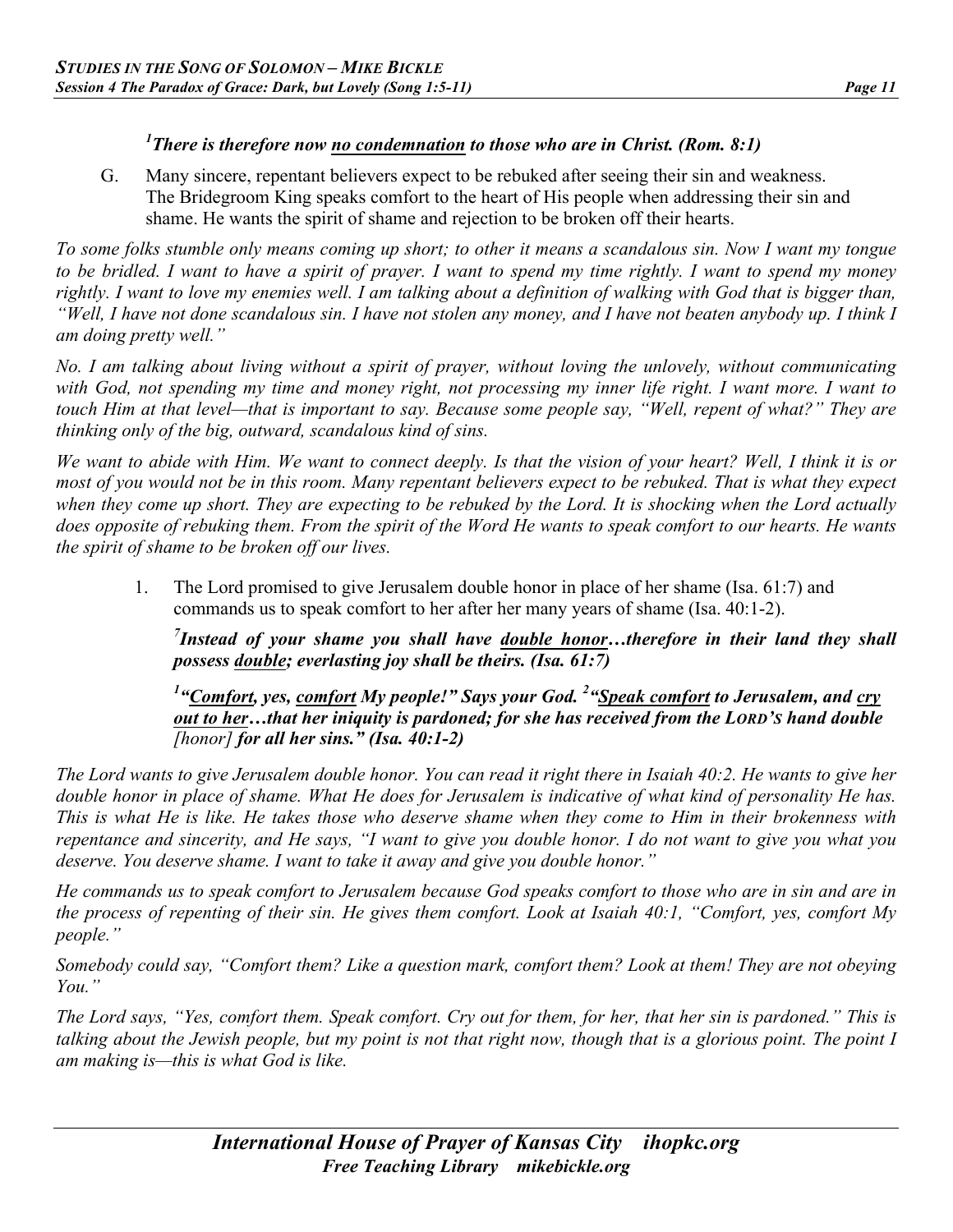#### *1 There is therefore now no condemnation to those who are in Christ. (Rom. 8:1)*

G. Many sincere, repentant believers expect to be rebuked after seeing their sin and weakness. The Bridegroom King speaks comfort to the heart of His people when addressing their sin and shame. He wants the spirit of shame and rejection to be broken off their hearts.

*To some folks stumble only means coming up short; to other it means a scandalous sin. Now I want my tongue to be bridled. I want to have a spirit of prayer. I want to spend my time rightly. I want to spend my money rightly. I want to love my enemies well. I am talking about a definition of walking with God that is bigger than, "Well, I have not done scandalous sin. I have not stolen any money, and I have not beaten anybody up. I think I am doing pretty well."*

*No. I am talking about living without a spirit of prayer, without loving the unlovely, without communicating with God, not spending my time and money right, not processing my inner life right. I want more. I want to touch Him at that level—that is important to say. Because some people say, "Well, repent of what?" They are thinking only of the big, outward, scandalous kind of sins.*

*We want to abide with Him. We want to connect deeply. Is that the vision of your heart? Well, I think it is or most of you would not be in this room. Many repentant believers expect to be rebuked. That is what they expect when they come up short. They are expecting to be rebuked by the Lord. It is shocking when the Lord actually does opposite of rebuking them. From the spirit of the Word He wants to speak comfort to our hearts. He wants the spirit of shame to be broken off our lives.*

1. The Lord promised to give Jerusalem double honor in place of her shame (Isa. 61:7) and commands us to speak comfort to her after her many years of shame (Isa. 40:1-2).

*7 Instead of your shame you shall have double honor…therefore in their land they shall possess double; everlasting joy shall be theirs. (Isa. 61:7)* 

*1 "Comfort, yes, comfort My people!" Says your God. 2 "Speak comfort to Jerusalem, and cry out to her…that her iniquity is pardoned; for she has received from the LORD'S hand double [honor] for all her sins." (Isa. 40:1-2)*

*The Lord wants to give Jerusalem double honor. You can read it right there in Isaiah 40:2. He wants to give her double honor in place of shame. What He does for Jerusalem is indicative of what kind of personality He has. This is what He is like. He takes those who deserve shame when they come to Him in their brokenness with repentance and sincerity, and He says, "I want to give you double honor. I do not want to give you what you deserve. You deserve shame. I want to take it away and give you double honor."*

*He commands us to speak comfort to Jerusalem because God speaks comfort to those who are in sin and are in the process of repenting of their sin. He gives them comfort. Look at Isaiah 40:1, "Comfort, yes, comfort My people."*

*Somebody could say, "Comfort them? Like a question mark, comfort them? Look at them! They are not obeying You."*

*The Lord says, "Yes, comfort them. Speak comfort. Cry out for them, for her, that her sin is pardoned." This is talking about the Jewish people, but my point is not that right now, though that is a glorious point. The point I am making is—this is what God is like.*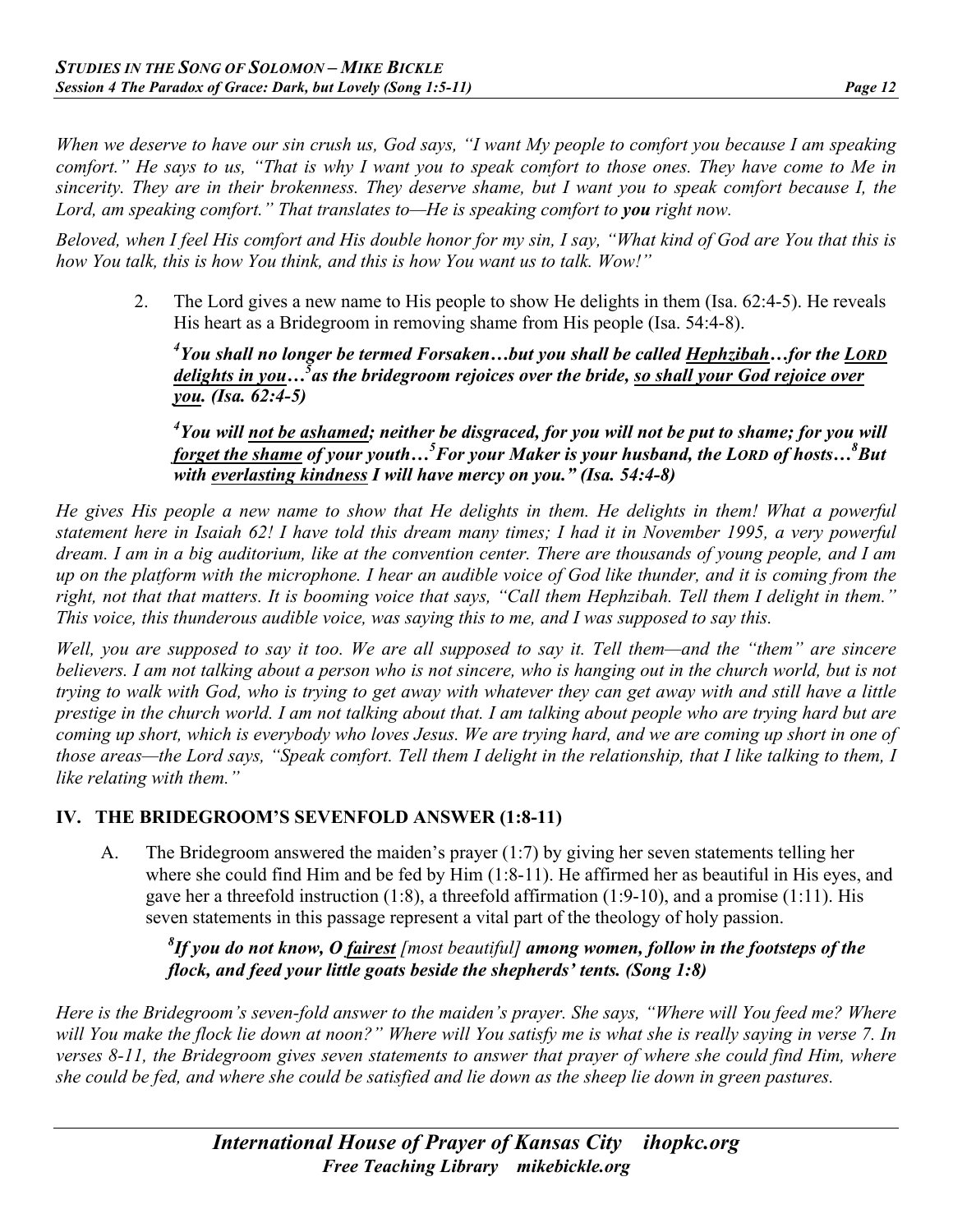*When we deserve to have our sin crush us, God says, "I want My people to comfort you because I am speaking comfort." He says to us, "That is why I want you to speak comfort to those ones. They have come to Me in sincerity. They are in their brokenness. They deserve shame, but I want you to speak comfort because I, the Lord, am speaking comfort.*" That translates to—He is speaking comfort to you right now.

*Beloved, when I feel His comfort and His double honor for my sin, I say, "What kind of God are You that this is how You talk, this is how You think, and this is how You want us to talk. Wow!"*

2. The Lord gives a new name to His people to show He delights in them (Isa. 62:4-5). He reveals His heart as a Bridegroom in removing shame from His people (Isa. 54:4-8).

*4 You shall no longer be termed Forsaken…but you shall be called Hephzibah…for the LORD delights in you…5 as the bridegroom rejoices over the bride, so shall your God rejoice over you. (Isa. 62:4-5)*

*4 You will not be ashamed; neither be disgraced, for you will not be put to shame; for you will forget the shame of your youth…<sup>5</sup> For your Maker is your husband, the LORD of hosts…8 But with everlasting kindness I will have mercy on you." (Isa. 54:4-8)*

*He gives His people a new name to show that He delights in them. He delights in them! What a powerful statement here in Isaiah 62! I have told this dream many times; I had it in November 1995, a very powerful dream. I am in a big auditorium, like at the convention center. There are thousands of young people, and I am up on the platform with the microphone. I hear an audible voice of God like thunder, and it is coming from the*  right, not that that matters. It is booming voice that says, "Call them Hephzibah. Tell them I delight in them." *This voice, this thunderous audible voice, was saying this to me, and I was supposed to say this.*

*Well, you are supposed to say it too. We are all supposed to say it. Tell them—and the "them" are sincere believers. I am not talking about a person who is not sincere, who is hanging out in the church world, but is not trying to walk with God, who is trying to get away with whatever they can get away with and still have a little prestige in the church world. I am not talking about that. I am talking about people who are trying hard but are coming up short, which is everybody who loves Jesus. We are trying hard, and we are coming up short in one of those areas—the Lord says, "Speak comfort. Tell them I delight in the relationship, that I like talking to them, I like relating with them."*

#### **IV. THE BRIDEGROOM'S SEVENFOLD ANSWER (1:8-11)**

A. The Bridegroom answered the maiden's prayer (1:7) by giving her seven statements telling her where she could find Him and be fed by Him (1:8-11). He affirmed her as beautiful in His eyes, and gave her a threefold instruction (1:8), a threefold affirmation (1:9-10), and a promise (1:11). His seven statements in this passage represent a vital part of the theology of holy passion.

*8 If you do not know, O fairest [most beautiful] among women, follow in the footsteps of the flock, and feed your little goats beside the shepherds' tents. (Song 1:8)* 

*Here is the Bridegroom's seven-fold answer to the maiden's prayer. She says, "Where will You feed me? Where will You make the flock lie down at noon?" Where will You satisfy me is what she is really saying in verse 7. In verses 8-11, the Bridegroom gives seven statements to answer that prayer of where she could find Him, where she could be fed, and where she could be satisfied and lie down as the sheep lie down in green pastures.*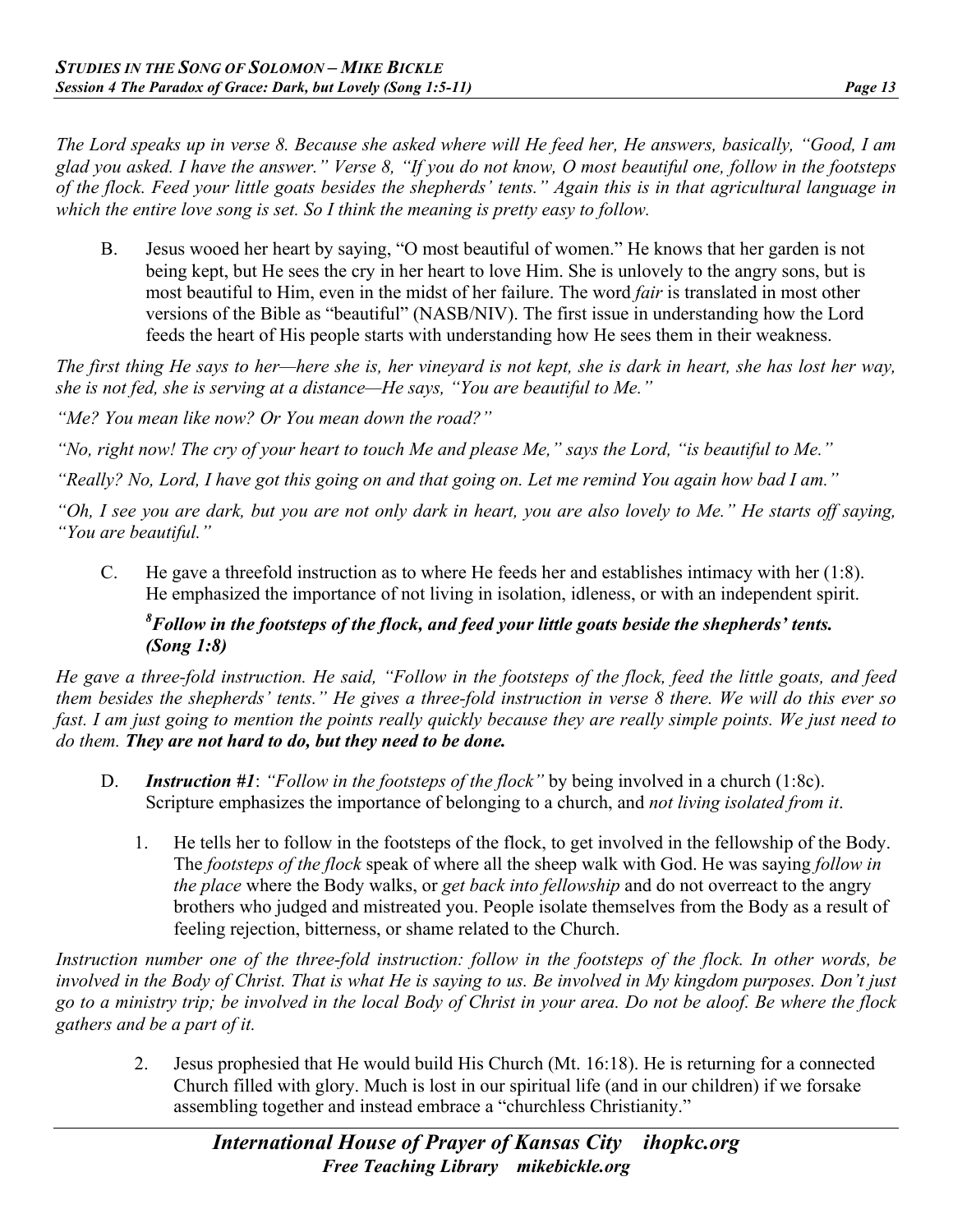*The Lord speaks up in verse 8. Because she asked where will He feed her, He answers, basically, "Good, I am glad you asked. I have the answer." Verse 8, "If you do not know, O most beautiful one, follow in the footsteps of the flock. Feed your little goats besides the shepherds' tents." Again this is in that agricultural language in which the entire love song is set. So I think the meaning is pretty easy to follow.*

B. Jesus wooed her heart by saying, "O most beautiful of women." He knows that her garden is not being kept, but He sees the cry in her heart to love Him. She is unlovely to the angry sons, but is most beautiful to Him, even in the midst of her failure. The word *fair* is translated in most other versions of the Bible as "beautiful" (NASB/NIV). The first issue in understanding how the Lord feeds the heart of His people starts with understanding how He sees them in their weakness.

*The first thing He says to her—here she is, her vineyard is not kept, she is dark in heart, she has lost her way, she is not fed, she is serving at a distance—He says, "You are beautiful to Me."*

*"Me? You mean like now? Or You mean down the road?"*

*"No, right now! The cry of your heart to touch Me and please Me," says the Lord, "is beautiful to Me."*

*"Really? No, Lord, I have got this going on and that going on. Let me remind You again how bad I am."*

*"Oh, I see you are dark, but you are not only dark in heart, you are also lovely to Me." He starts off saying, "You are beautiful."*

C. He gave a threefold instruction as to where He feeds her and establishes intimacy with her (1:8). He emphasized the importance of not living in isolation, idleness, or with an independent spirit.

#### *8 Follow in the footsteps of the flock, and feed your little goats beside the shepherds' tents. (Song 1:8)*

*He gave a three-fold instruction. He said, "Follow in the footsteps of the flock, feed the little goats, and feed them besides the shepherds' tents." He gives a three-fold instruction in verse 8 there. We will do this ever so fast. I am just going to mention the points really quickly because they are really simple points. We just need to do them. They are not hard to do, but they need to be done.*

- D. *Instruction #1*: *"Follow in the footsteps of the flock"* by being involved in a church (1:8c). Scripture emphasizes the importance of belonging to a church, and *not living isolated from it*.
	- 1. He tells her to follow in the footsteps of the flock, to get involved in the fellowship of the Body. The *footsteps of the flock* speak of where all the sheep walk with God. He was saying *follow in the place* where the Body walks, or *get back into fellowship* and do not overreact to the angry brothers who judged and mistreated you. People isolate themselves from the Body as a result of feeling rejection, bitterness, or shame related to the Church.

*Instruction number one of the three-fold instruction: follow in the footsteps of the flock. In other words, be involved in the Body of Christ. That is what He is saying to us. Be involved in My kingdom purposes. Don't just go to a ministry trip; be involved in the local Body of Christ in your area. Do not be aloof. Be where the flock gathers and be a part of it.*

2. Jesus prophesied that He would build His Church (Mt. 16:18). He is returning for a connected Church filled with glory. Much is lost in our spiritual life (and in our children) if we forsake assembling together and instead embrace a "churchless Christianity."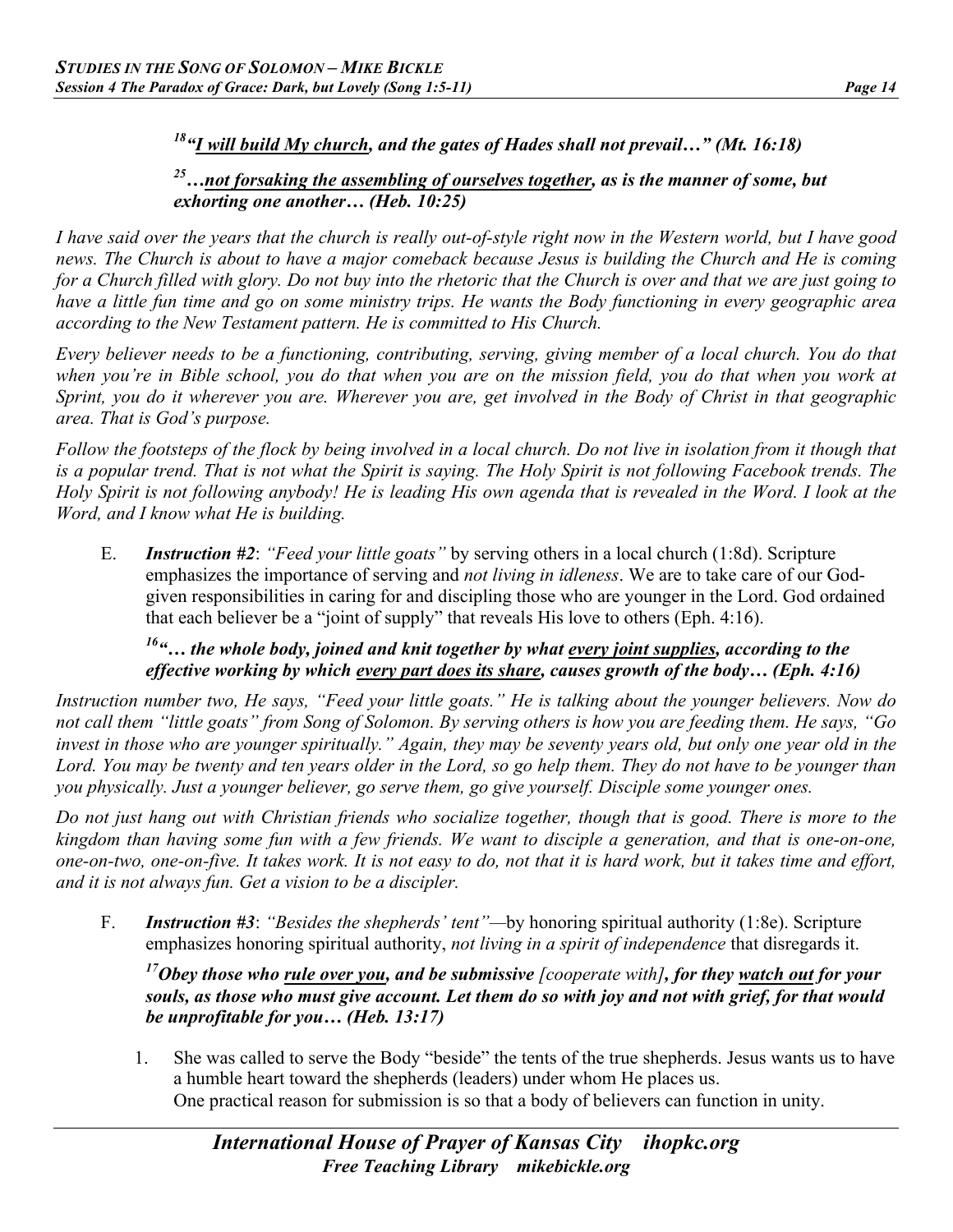# *18"I will build My church, and the gates of Hades shall not prevail…" (Mt. 16:18)*

#### *25…not forsaking the assembling of ourselves together, as is the manner of some, but exhorting one another… (Heb. 10:25)*

*I have said over the years that the church is really out-of-style right now in the Western world, but I have good news. The Church is about to have a major comeback because Jesus is building the Church and He is coming for a Church filled with glory. Do not buy into the rhetoric that the Church is over and that we are just going to have a little fun time and go on some ministry trips. He wants the Body functioning in every geographic area according to the New Testament pattern. He is committed to His Church.*

*Every believer needs to be a functioning, contributing, serving, giving member of a local church. You do that when you're in Bible school, you do that when you are on the mission field, you do that when you work at Sprint, you do it wherever you are. Wherever you are, get involved in the Body of Christ in that geographic area. That is God's purpose.*

*Follow the footsteps of the flock by being involved in a local church. Do not live in isolation from it though that is a popular trend. That is not what the Spirit is saying. The Holy Spirit is not following Facebook trends. The Holy Spirit is not following anybody! He is leading His own agenda that is revealed in the Word. I look at the Word, and I know what He is building.*

E. *Instruction #2*: *"Feed your little goats"* by serving others in a local church (1:8d). Scripture emphasizes the importance of serving and *not living in idleness*. We are to take care of our Godgiven responsibilities in caring for and discipling those who are younger in the Lord. God ordained that each believer be a "joint of supply" that reveals His love to others (Eph. 4:16).

#### *16"… the whole body, joined and knit together by what every joint supplies, according to the effective working by which every part does its share, causes growth of the body… (Eph. 4:16)*

*Instruction number two, He says, "Feed your little goats." He is talking about the younger believers. Now do not call them "little goats" from Song of Solomon. By serving others is how you are feeding them. He says, "Go invest in those who are younger spiritually." Again, they may be seventy years old, but only one year old in the Lord. You may be twenty and ten years older in the Lord, so go help them. They do not have to be younger than you physically. Just a younger believer, go serve them, go give yourself. Disciple some younger ones.* 

*Do not just hang out with Christian friends who socialize together, though that is good. There is more to the kingdom than having some fun with a few friends. We want to disciple a generation, and that is one-on-one, one-on-two, one-on-five. It takes work. It is not easy to do, not that it is hard work, but it takes time and effort, and it is not always fun. Get a vision to be a discipler.*

F. *Instruction #3*: *"Besides the shepherds' tent"—*by honoring spiritual authority (1:8e). Scripture emphasizes honoring spiritual authority, *not living in a spirit of independence* that disregards it.

*17Obey those who rule over you, and be submissive [cooperate with], for they watch out for your souls, as those who must give account. Let them do so with joy and not with grief, for that would be unprofitable for you… (Heb. 13:17)* 

1. She was called to serve the Body "beside" the tents of the true shepherds. Jesus wants us to have a humble heart toward the shepherds (leaders) under whom He places us. One practical reason for submission is so that a body of believers can function in unity.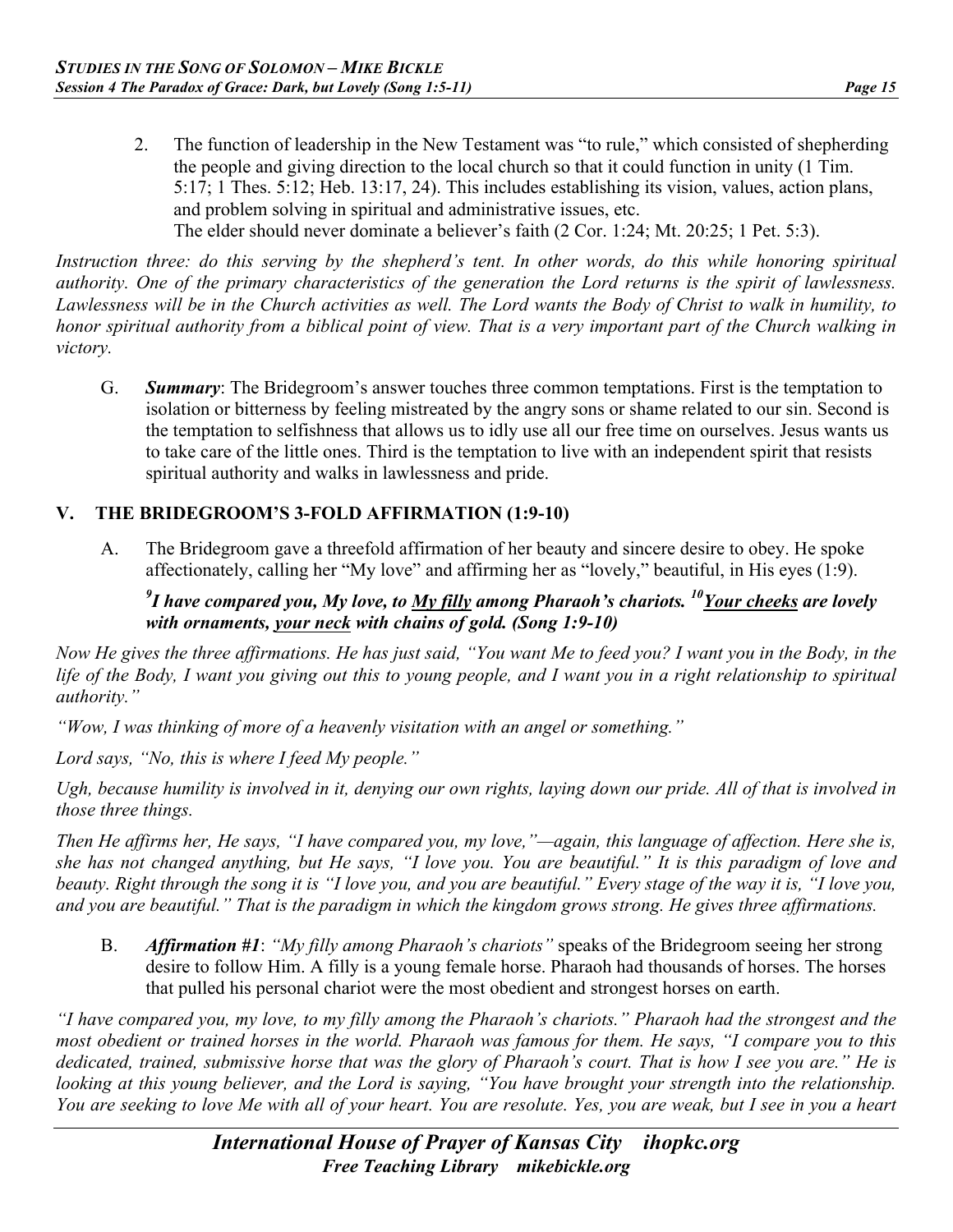2. The function of leadership in the New Testament was "to rule," which consisted of shepherding the people and giving direction to the local church so that it could function in unity (1 Tim. 5:17; 1 Thes. 5:12; Heb. 13:17, 24). This includes establishing its vision, values, action plans, and problem solving in spiritual and administrative issues, etc. The elder should never dominate a believer's faith (2 Cor. 1:24; Mt. 20:25; 1 Pet. 5:3).

*Instruction three: do this serving by the shepherd's tent. In other words, do this while honoring spiritual authority. One of the primary characteristics of the generation the Lord returns is the spirit of lawlessness. Lawlessness will be in the Church activities as well. The Lord wants the Body of Christ to walk in humility, to honor spiritual authority from a biblical point of view. That is a very important part of the Church walking in victory.*

G. *Summary*: The Bridegroom's answer touches three common temptations. First is the temptation to isolation or bitterness by feeling mistreated by the angry sons or shame related to our sin. Second is the temptation to selfishness that allows us to idly use all our free time on ourselves. Jesus wants us to take care of the little ones. Third is the temptation to live with an independent spirit that resists spiritual authority and walks in lawlessness and pride.

#### **V. THE BRIDEGROOM'S 3-FOLD AFFIRMATION (1:9-10)**

A. The Bridegroom gave a threefold affirmation of her beauty and sincere desire to obey. He spoke affectionately, calling her "My love" and affirming her as "lovely," beautiful, in His eyes (1:9).

#### *9 I have compared you, My love, to My filly among Pharaoh's chariots. 10Your cheeks are lovely with ornaments, your neck with chains of gold. (Song 1:9-10)*

*Now He gives the three affirmations. He has just said, "You want Me to feed you? I want you in the Body, in the life of the Body, I want you giving out this to young people, and I want you in a right relationship to spiritual authority."*

*"Wow, I was thinking of more of a heavenly visitation with an angel or something."*

*Lord says, "No, this is where I feed My people."*

*Ugh, because humility is involved in it, denying our own rights, laying down our pride. All of that is involved in those three things.*

*Then He affirms her, He says, "I have compared you, my love,"—again, this language of affection. Here she is, she has not changed anything, but He says, "I love you. You are beautiful." It is this paradigm of love and beauty. Right through the song it is "I love you, and you are beautiful." Every stage of the way it is, "I love you, and you are beautiful." That is the paradigm in which the kingdom grows strong. He gives three affirmations.* 

B. *Affirmation #1*: *"My filly among Pharaoh's chariots"* speaks of the Bridegroom seeing her strong desire to follow Him. A filly is a young female horse. Pharaoh had thousands of horses. The horses that pulled his personal chariot were the most obedient and strongest horses on earth.

*"I have compared you, my love, to my filly among the Pharaoh's chariots." Pharaoh had the strongest and the most obedient or trained horses in the world. Pharaoh was famous for them. He says, "I compare you to this dedicated, trained, submissive horse that was the glory of Pharaoh's court. That is how I see you are." He is looking at this young believer, and the Lord is saying, "You have brought your strength into the relationship. You are seeking to love Me with all of your heart. You are resolute. Yes, you are weak, but I see in you a heart*